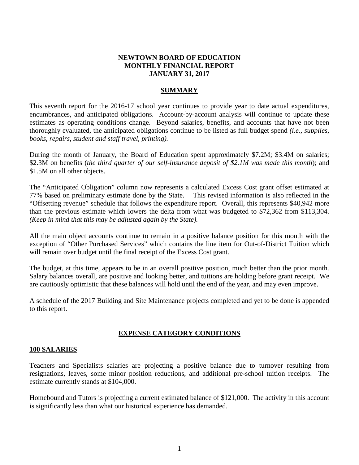# **NEWTOWN BOARD OF EDUCATION MONTHLY FINANCIAL REPORT JANUARY 31, 2017**

# **SUMMARY**

This seventh report for the 2016-17 school year continues to provide year to date actual expenditures, encumbrances, and anticipated obligations. Account-by-account analysis will continue to update these estimates as operating conditions change. Beyond salaries, benefits, and accounts that have not been thoroughly evaluated, the anticipated obligations continue to be listed as full budget spend *(i.e., supplies, books, repairs, student and staff travel, printing).* 

During the month of January, the Board of Education spent approximately \$7.2M; \$3.4M on salaries; \$2.3M on benefits (*the third quarter of our self-insurance deposit of \$2.1M was made this month*); and \$1.5M on all other objects.

The "Anticipated Obligation" column now represents a calculated Excess Cost grant offset estimated at 77% based on preliminary estimate done by the State. This revised information is also reflected in the "Offsetting revenue" schedule that follows the expenditure report. Overall, this represents \$40,942 more than the previous estimate which lowers the delta from what was budgeted to \$72,362 from \$113,304. *(Keep in mind that this may be adjusted again by the State).*

All the main object accounts continue to remain in a positive balance position for this month with the exception of "Other Purchased Services" which contains the line item for Out-of-District Tuition which will remain over budget until the final receipt of the Excess Cost grant.

The budget, at this time, appears to be in an overall positive position, much better than the prior month. Salary balances overall, are positive and looking better, and tuitions are holding before grant receipt. We are cautiously optimistic that these balances will hold until the end of the year, and may even improve.

A schedule of the 2017 Building and Site Maintenance projects completed and yet to be done is appended to this report.

# **EXPENSE CATEGORY CONDITIONS**

# **100 SALARIES**

Teachers and Specialists salaries are projecting a positive balance due to turnover resulting from resignations, leaves, some minor position reductions, and additional pre-school tuition receipts. The estimate currently stands at \$104,000.

Homebound and Tutors is projecting a current estimated balance of \$121,000. The activity in this account is significantly less than what our historical experience has demanded.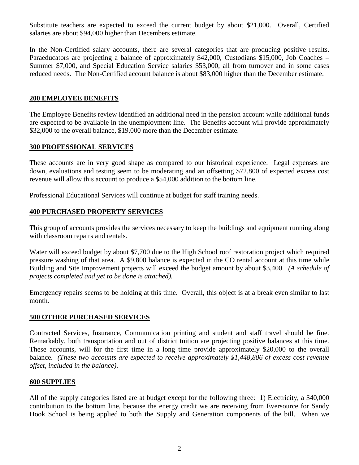Substitute teachers are expected to exceed the current budget by about \$21,000. Overall, Certified salaries are about \$94,000 higher than Decembers estimate.

In the Non-Certified salary accounts, there are several categories that are producing positive results. Paraeducators are projecting a balance of approximately \$42,000, Custodians \$15,000, Job Coaches – Summer \$7,000, and Special Education Service salaries \$53,000, all from turnover and in some cases reduced needs. The Non-Certified account balance is about \$83,000 higher than the December estimate.

# **200 EMPLOYEE BENEFITS**

The Employee Benefits review identified an additional need in the pension account while additional funds are expected to be available in the unemployment line. The Benefits account will provide approximately \$32,000 to the overall balance, \$19,000 more than the December estimate.

# **300 PROFESSIONAL SERVICES**

These accounts are in very good shape as compared to our historical experience. Legal expenses are down, evaluations and testing seem to be moderating and an offsetting \$72,800 of expected excess cost revenue will allow this account to produce a \$54,000 addition to the bottom line.

Professional Educational Services will continue at budget for staff training needs.

# **400 PURCHASED PROPERTY SERVICES**

This group of accounts provides the services necessary to keep the buildings and equipment running along with classroom repairs and rentals.

Water will exceed budget by about \$7,700 due to the High School roof restoration project which required pressure washing of that area. A \$9,800 balance is expected in the CO rental account at this time while Building and Site Improvement projects will exceed the budget amount by about \$3,400. *(A schedule of projects completed and yet to be done is attached).*

Emergency repairs seems to be holding at this time. Overall, this object is at a break even similar to last month.

# **500 OTHER PURCHASED SERVICES**

Contracted Services, Insurance, Communication printing and student and staff travel should be fine. Remarkably, both transportation and out of district tuition are projecting positive balances at this time. These accounts, will for the first time in a long time provide approximately \$20,000 to the overall balance. *(These two accounts are expected to receive approximately \$1,448,806 of excess cost revenue offset, included in the balance)*.

# **600 SUPPLIES**

All of the supply categories listed are at budget except for the following three: 1) Electricity, a \$40,000 contribution to the bottom line, because the energy credit we are receiving from Eversource for Sandy Hook School is being applied to both the Supply and Generation components of the bill. When we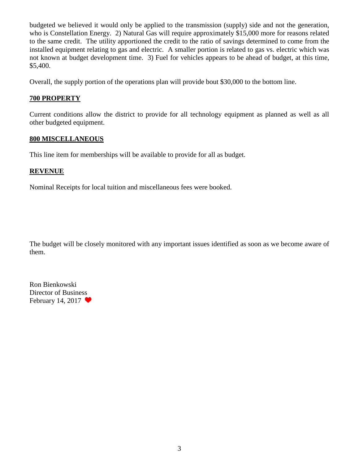budgeted we believed it would only be applied to the transmission (supply) side and not the generation, who is Constellation Energy. 2) Natural Gas will require approximately \$15,000 more for reasons related to the same credit. The utility apportioned the credit to the ratio of savings determined to come from the installed equipment relating to gas and electric. A smaller portion is related to gas vs. electric which was not known at budget development time. 3) Fuel for vehicles appears to be ahead of budget, at this time, \$5,400.

Overall, the supply portion of the operations plan will provide bout \$30,000 to the bottom line.

# **700 PROPERTY**

Current conditions allow the district to provide for all technology equipment as planned as well as all other budgeted equipment.

# **800 MISCELLANEOUS**

This line item for memberships will be available to provide for all as budget.

# **REVENUE**

Nominal Receipts for local tuition and miscellaneous fees were booked.

The budget will be closely monitored with any important issues identified as soon as we become aware of them.

Ron Bienkowski Director of Business February 14, 2017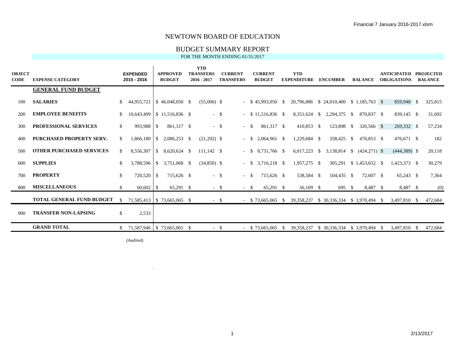#### BUDGET SUMMARY REPORT

FOR THE MONTH ENDING 01/31/2017

| <b>OBJECT</b><br>CODE | <b>EXPENSE CATEGORY</b>          |               | <b>EXPENDED</b><br>2015 - 2016 |                          | <b>APPROVED</b><br><b>BUDGET</b> | <b>YTD</b><br><b>TRANSFERS</b><br>$2016 - 2017$ | <b>CURRENT</b><br><b>TRANSFERS</b> |        | <b>CURRENT</b><br><b>BUDGET</b> |    | <b>YTD</b><br><b>EXPENDITURE</b>         | <b>ENCUMBER</b>             | <b>BALANCE</b>  |      | <b>ANTICIPATED</b><br><b>OBLIGATIONS</b> |    | <b>PROJECTED</b><br><b>BALANCE</b> |
|-----------------------|----------------------------------|---------------|--------------------------------|--------------------------|----------------------------------|-------------------------------------------------|------------------------------------|--------|---------------------------------|----|------------------------------------------|-----------------------------|-----------------|------|------------------------------------------|----|------------------------------------|
|                       | <b>GENERAL FUND BUDGET</b>       |               |                                |                          |                                  |                                                 |                                    |        |                                 |    |                                          |                             |                 |      |                                          |    |                                    |
| 100                   | <b>SALARIES</b>                  | -SS           | 44,955,721                     |                          | $$46,048,050$ \, \$              | $(55,000)$ \$                                   |                                    |        | $-$ \$ 45,993,050 \$            |    | 20,796,886 \$ 24,010,400 \$ 1,185,763 \$ |                             |                 |      | 859,948 \$                               |    | 325,815                            |
| 200                   | <b>EMPLOYEE BENEFITS</b>         | <sup>S</sup>  |                                |                          | 10,643,499   \$11,516,836 \$     | $-$ \$                                          |                                    |        | $-$ \$ 11,516,836 \$            |    | 8,351,624 \$                             | 2,294,375 \$                | 870,837 \$      |      | 839,145 \$                               |    | 31,692                             |
| 300                   | <b>PROFESSIONAL SERVICES</b>     | \$.           | 993,988                        | -S                       | 861,317 \$                       | $-$ \$                                          |                                    | $-$ \$ | 861,317 \$                      |    | 410,853 \$                               | 123,898 \$                  | 326,566 \$      |      | 269,332 \$                               |    | 57,234                             |
| 400                   | <b>PURCHASED PROPERTY SERV.</b>  | <sup>\$</sup> | 1,866,180                      | $\overline{\phantom{a}}$ | 2,086,253 \$                     | $(21,292)$ \$                                   |                                    | $-$ S  | 2.064.961 \$                    |    | 1,229,684 \$                             | 358,425 \$                  | 476.853 \$      |      | 476,671 \$                               |    | 182                                |
| 500                   | <b>OTHER PURCHASED SERVICES</b>  | S.            | 8,556,307                      | $\mathbb{S}$             | 8,620,624 \$                     | $111,142$ \$                                    |                                    | $- S$  | 8,731,766 \$                    |    | $6,017,223$ \$                           | 3,138,814 \$                | $(424, 271)$ \$ |      | $(444,389)$ \$                           |    | 20,118                             |
| 600                   | <b>SUPPLIES</b>                  | -S            | 3,788,596                      |                          | $$3,751,068$ \;                  | $(34,850)$ \$                                   |                                    | $-$ S  | 3,716,218 \$                    |    | 1,957,275 \$                             | 305,291                     |                 |      | 1,423,373 \$                             |    | 30,279                             |
| 700                   | <b>PROPERTY</b>                  | <sup>\$</sup> | 720,520                        | <sup>S</sup>             | 715,626 \$                       | $-$ \$                                          |                                    | $-$ \$ | 715,626 \$                      |    | 538,584 \$                               | $104,435$ \$                | 72,607 \$       |      | $65,243$ \$                              |    | 7,364                              |
| 800                   | <b>MISCELLANEOUS</b>             | <sup>S</sup>  |                                |                          | 65,291 \$                        | $-$ \$                                          |                                    | $- S$  | $65,291$ \$                     |    | 56,109 \$                                | 695 \$                      | 8,487 \$        |      | 8,487 \$                                 |    | (0)                                |
|                       | <b>TOTAL GENERAL FUND BUDGET</b> | -S            |                                |                          | 71,585,413   \$73,665,065 \$     | $-$ \$                                          |                                    |        | $-$ \$ 73,665,065 \$            |    | 39,358,237                               | \$30,336,334 \$3,970,494 \$ |                 |      | 3,497,810 \$                             |    | 472,684                            |
| 900                   | <b>TRANSFER NON-LAPSING</b>      | \$            | 2,533                          |                          |                                  |                                                 |                                    |        |                                 |    |                                          |                             |                 |      |                                          |    |                                    |
|                       | <b>GRAND TOTAL</b>               |               | 71,587,946 \$73,665,065 \$     |                          |                                  | $-$ \$                                          |                                    |        | $-$ \$ 73,665,065               | -S | 39, 358, 237                             | \$ 30,336,334               | \$ 3,970,494    | - \$ | 3,497,810                                | -S | 472,684                            |

*(Audited)*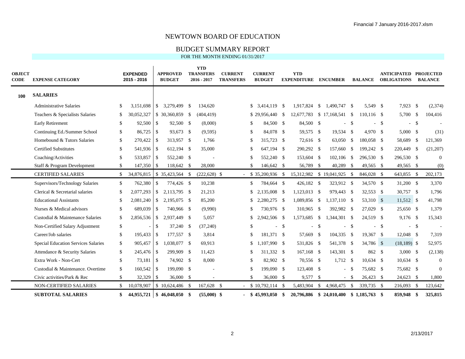BUDGET SUMMARY REPORT

| <b>OBJECT</b><br><b>CODE</b> | <b>EXPENSE CATEGORY</b>             |               | <b>EXPENDED</b><br>2015 - 2016 |            | <b>APPROVED</b><br><b>BUDGET</b> | <b>YTD</b><br><b>TRANSFERS</b><br>$2016 - 2017$ | <b>CURRENT</b><br><b>TRANSFERS</b> |               | <b>CURRENT</b><br><b>BUDGET</b> |               | <b>YTD</b><br><b>EXPENDITURE</b>       |    | <b>ENCUMBER</b> |               | <b>BALANCE</b> |      | <b>ANTICIPATED PROJECTED</b><br><b>OBLIGATIONS</b> |        | <b>BALANCE</b> |
|------------------------------|-------------------------------------|---------------|--------------------------------|------------|----------------------------------|-------------------------------------------------|------------------------------------|---------------|---------------------------------|---------------|----------------------------------------|----|-----------------|---------------|----------------|------|----------------------------------------------------|--------|----------------|
| 100                          | <b>SALARIES</b>                     |               |                                |            |                                  |                                                 |                                    |               |                                 |               |                                        |    |                 |               |                |      |                                                    |        |                |
|                              | <b>Administrative Salaries</b>      | \$            | 3,151,698                      | $\vert$ \$ | 3,279,499 \$                     | 134,620                                         |                                    | \$            | 3,414,119 \$                    |               | 1,917,824 \$                           |    | 1.490.747 \$    |               | 5,549 \$       |      | $7,923$ \$                                         |        | (2,374)        |
|                              | Teachers & Specialists Salaries     | \$            | 30,052,327                     |            | $$30,360,859$ \$                 | (404, 419)                                      |                                    |               | $$29,956,440$ \\$               |               | 12,677,783 \$ 17,168,541 \$            |    |                 |               | $110, 116$ \$  |      | 5,700 \$                                           |        | 104,416        |
|                              | <b>Early Retirement</b>             | S.            | $92,500$ \$                    |            | 92,500 \$                        | (8,000)                                         |                                    | -S            | 84,500 \$                       |               | 84,500 \$                              |    | $\sim$          | <sup>\$</sup> | $\overline{a}$ | -\$  |                                                    | $-$ \$ |                |
|                              | Continuing Ed./Summer School        | S.            | $86,725$ \$                    |            | 93,673 \$                        | (9,595)                                         |                                    | -S            | 84,078 \$                       |               | 59,575 \$                              |    | 19,534 \$       |               | 4,970 \$       |      | $5,000$ \$                                         |        | (31)           |
|                              | Homebound & Tutors Salaries         | \$            |                                |            | 313,957 \$                       | 1,766                                           |                                    | -S            | 315,723 \$                      |               | 72,616 \$                              |    | 63,050          | \$            | 180,058 \$     |      | 58,689 \$                                          |        | 121,369        |
|                              | <b>Certified Substitutes</b>        | \$            | 541,936 \$                     |            | 612,194 \$                       | 35,000                                          |                                    | -8            | 647.194 \$                      |               | 290,292 \$                             |    | 157,660 \$      |               | 199,242 \$     |      | 220,449 \$                                         |        | (21, 207)      |
|                              | Coaching/Activities                 | $\mathcal{S}$ | 533,857 \$                     |            | 552,240 \$                       |                                                 |                                    | -8            | 552,240 \$                      |               | 153,604 \$                             |    | 102,106         | \$            | 296,530 \$     |      | 296,530 \$                                         |        | $\mathbf{0}$   |
|                              | Staff & Program Development         | \$            | 147,350 \$                     |            | 118,642 \$                       | 28,000                                          |                                    | $\mathcal{S}$ | 146,642 \$                      |               | 56,789 \$                              |    | 40,289          | - \$          | 49,565 \$      |      | 49,565 \$                                          |        | (0)            |
|                              | <b>CERTIFIED SALARIES</b>           | \$            | 34,876,815                     |            | $$35,423,564$ \\$                | $(222, 628)$ \$                                 |                                    |               | $-$ \$ 35,200,936 \$            |               | 15,312,982 \$ 19,041,925 \$            |    |                 |               | 846,028 \$     |      | 643,855 \$                                         |        | 202,173        |
|                              | Supervisors/Technology Salaries     | \$            | 762,380                        | l \$       | 774,426 \$                       | 10,238                                          |                                    | <sup>\$</sup> | 784,664 \$                      |               | 426,182 \$                             |    | 323,912 \$      |               | 34,570 \$      |      | $31,200$ \$                                        |        | 3,370          |
|                              | Clerical & Secretarial salaries     | S.            | 2,077,293                      | l \$       | 2,113,795 \$                     | 21,213                                          |                                    | \$            | 2,135,008 \$                    |               | $1,123,013$ \$                         |    | 979,443 \$      |               | 32,553 \$      |      | 30,757 \$                                          |        | 1,796          |
|                              | <b>Educational Assistants</b>       | \$.           |                                |            | 2,195,075 \$                     | 85,200                                          |                                    |               | 2,280,275 \$                    |               | 1,089,856 \$                           |    | $1,137,110$ \$  |               | 53,310 \$      |      | $11,512$ \$                                        |        | 41,798         |
|                              | Nurses & Medical advisors           | S.            | 689,039 \$                     |            | 740,966 \$                       | (9,990)                                         |                                    | -S            | 730,976 \$                      |               | 310,965 \$                             |    | 392,982 \$      |               | 27,029 \$      |      | 25,650 \$                                          |        | 1,379          |
|                              | Custodial & Maintenance Salaries    | \$            | $2,856,536$ \$                 |            | 2.937.449 \$                     | 5,057                                           |                                    |               | 2,942,506 \$                    |               | 1,573,685 \$                           |    | 1,344,301 \$    |               | 24,519 \$      |      | 9,176 \$                                           |        | 15,343         |
|                              | Non-Certified Salary Adjustment     | \$            |                                | \$         | 37,240 \$                        | (37,240)                                        |                                    | -S            | $\sim$                          | $\mathcal{S}$ | $\sim$                                 | -S |                 | $- S$         |                | $-5$ | $-$ \$                                             |        |                |
|                              | Career/Job salaries                 | \$            | $195,433$ \$                   |            | 177,557 \$                       | 3,814                                           |                                    | -S            | 181,371 \$                      |               | 57,669 \$                              |    | 104,335 \$      |               | 19,367 \$      |      | 12,048 \$                                          |        | 7,319          |
|                              | Special Education Services Salaries | \$.           | 905,457 \$                     |            | 1,038,077 \$                     | 69,913                                          |                                    | -S            | 1,107,990 \$                    |               | 531,826 \$                             |    | 541,378 \$      |               | 34,786 \$      |      | $(18, 189)$ \$                                     |        | 52,975         |
|                              | Attendance & Security Salaries      | \$            | 245,476 \$                     |            | 299,909 \$                       | 11,423                                          |                                    | -S            | 311,332 \$                      |               | 167,168 \$                             |    | 143,301 \$      |               | 862 \$         |      | $3,000$ \$                                         |        | (2,138)        |
|                              | Extra Work - Non-Cert               | \$            |                                |            | 74,902 \$                        | 8,000                                           |                                    | <sup>\$</sup> | 82,902 \$                       |               | 70,556 \$                              |    | 1,712 \$        |               | $10.634$ \$    |      | $10,634$ \$                                        |        | $\theta$       |
|                              | Custodial & Maintenance. Overtime   | \$            | $160,542$ \$                   |            | 199,090 \$                       |                                                 |                                    | -S            | 199,090 \$                      |               | 123,408 \$                             |    |                 | $-$ \$        | 75,682 \$      |      | 75,682 \$                                          |        | $\Omega$       |
|                              | Civic activities/Park & Rec         | \$            |                                |            | $36,000$ \$                      | ÷,                                              |                                    | <sup>\$</sup> | 36,000 \$                       |               | 9,577 \$                               |    |                 | $-$ \$        | 26,423 \$      |      | 24,623 \$                                          |        | 1,800          |
|                              | NON-CERTIFIED SALARIES              | S.            | 10,078,907                     |            | $$10,624,486$ \\$                | 167,628 \$                                      |                                    |               | $-$ \$ 10,792,114 \$            |               | 5,483,904 \$                           |    | 4,968,475 \$    |               | 339,735 \$     |      | $216,093$ \$                                       |        | 123,642        |
|                              | <b>SUBTOTAL SALARIES</b>            | \$            | 44,955,721   \$46,048,050 \$   |            |                                  | $(55,000)$ \$                                   |                                    |               | $-$ \$ 45,993,050 \$            |               | 20,796,886 \$24,010,400 \$1,185,763 \$ |    |                 |               |                |      | 859,948                                            | -\$    | 325,815        |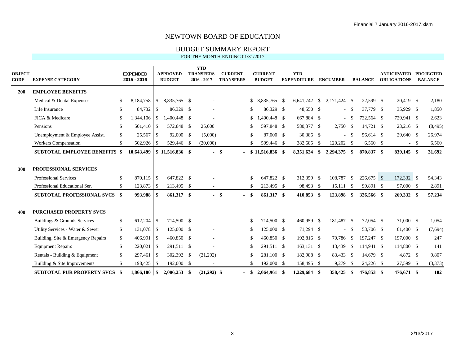## BUDGET SUMMARY REPORT

| <b>OBJECT</b><br><b>CODE</b> | <b>EXPENSE CATEGORY</b>                               |      | <b>EXPENDED</b><br>2015 - 2016 |               | <b>APPROVED</b><br><b>BUDGET</b> | <b>YTD</b><br><b>TRANSFERS</b><br>$2016 - 2017$ | <b>CURRENT</b><br><b>TRANSFERS</b> |               | <b>CURRENT</b><br><b>BUDGET</b> | <b>YTD</b><br><b>EXPENDITURE</b> |               | <b>ENCUMBER</b>   |          | <b>BALANCE</b> | ANTICIPATED PROJECTED<br><b>OBLIGATIONS</b> | <b>BALANCE</b> |
|------------------------------|-------------------------------------------------------|------|--------------------------------|---------------|----------------------------------|-------------------------------------------------|------------------------------------|---------------|---------------------------------|----------------------------------|---------------|-------------------|----------|----------------|---------------------------------------------|----------------|
| <b>200</b>                   | <b>EMPLOYEE BENEFITS</b>                              |      |                                |               |                                  |                                                 |                                    |               |                                 |                                  |               |                   |          |                |                                             |                |
|                              | Medical & Dental Expenses                             | S.   | 8,184,758                      | $\mathbb{S}$  | 8.835.765 \$                     |                                                 |                                    | \$            | 8,835,765 \$                    | 6.641.742                        | \$            | 2,171,424 \$      |          | 22,599 \$      | 20,419 \$                                   | 2,180          |
|                              | Life Insurance                                        | \$.  | 84,732                         | \$            | 86,329 \$                        |                                                 |                                    | S             | 86,329 \$                       | 48,550 \$                        |               |                   | $-$ \$   | 37,779 \$      | 35,929 \$                                   | 1,850          |
|                              | FICA & Medicare                                       | S.   | 1,344,106                      | $\mathbb{S}$  | 1,400,448 \$                     |                                                 |                                    | \$            | $.400.448$ \$                   | 667,884 \$                       |               |                   | $-$ \$   | 732.564 \$     | 729,941 \$                                  | 2,623          |
|                              | Pensions                                              | \$   | 501,410                        | - \$          | 572,848 \$                       | 25,000                                          |                                    | \$            | 597,848 \$                      | 580,377 \$                       |               | $2,750$ \$        |          | 14.721 \$      | 23,216 \$                                   | (8, 495)       |
|                              | Unemployment & Employee Assist.                       | \$   | $25,567$ \$                    |               | 92,000 \$                        | (5,000)                                         |                                    | \$            | 87,000 \$                       | 30,386 \$                        |               |                   | $-$ \$   | 56,614 \$      | 29,640 \$                                   | 26,974         |
|                              | <b>Workers Compensation</b>                           | \$   | $502,926$ \$                   |               | 529,446 \$                       | (20,000)                                        |                                    | S.            | 509,446 \$                      | 382,685                          | <sup>\$</sup> | 120,202 \$        |          | $6,560$ \$     | $-$ \$                                      | 6,560          |
|                              | <b>SUBTOTAL EMPLOYEE BENEFITS \$</b>                  |      | 10,643,499                     |               | $$11,516,836$ \$                 | $-$ \$                                          |                                    |               | $$11,516,836$ \$                | 8,351,624                        | \$            | 2,294,375 \$      |          | 870,837 \$     | 839,145 \$                                  | 31,692         |
| 300                          | PROFESSIONAL SERVICES<br><b>Professional Services</b> | \$   | 870.115 \$                     |               | 647.822 \$                       |                                                 |                                    | \$            | 647,822 \$                      | 312,359 \$                       |               | 108,787           | <b>S</b> | 226,675 \$     | 172,332 \$                                  | 54,343         |
|                              | Professional Educational Ser.                         | \$   | $123,873$ \$                   |               | 213,495 \$                       |                                                 |                                    | $\mathcal{S}$ | 213,495 \$                      | 98,493                           | -\$           | $15,111 \quad$ \$ |          | 99,891 \$      | 97,000 \$                                   | 2,891          |
|                              | <b>SUBTOTAL PROFESSIONAL SVCS \$</b>                  |      | 993,988                        | - \$          | 861,317 \$                       | $-$ \$                                          | $\overline{\phantom{a}}$           |               | 861,317 \$                      | 410,853                          | - \$          | 123,898 \$        |          | 326,566 \$     | 269,332 \$                                  | 57,234         |
| 400                          | <b>PURCHASED PROPERTY SVCS</b>                        |      |                                |               |                                  |                                                 |                                    |               |                                 |                                  |               |                   |          |                |                                             |                |
|                              | Buildings & Grounds Services                          | S.   | 612,204                        | - \$          | 714,500 \$                       |                                                 |                                    | \$            | 714,500 \$                      | 460,959                          | -\$           | 181,487 \$        |          | 72,054 \$      | 71,000 \$                                   | 1,054          |
|                              | Utility Services - Water & Sewer                      | \$   | 131,078                        | <sup>\$</sup> | 125,000 \$                       |                                                 |                                    | \$            | $125,000$ \$                    | 71,294 \$                        |               |                   | $-$ \$   | 53,706 \$      | 61,400 \$                                   | (7,694)        |
|                              | Building, Site & Emergency Repairs                    | \$   | 406,991                        | -S            | 460,850 \$                       |                                                 |                                    | \$            | 460,850 \$                      | 192,816 \$                       |               | 70,786 \$         |          | 197,247 \$     | 197,000 \$                                  | 247            |
|                              | <b>Equipment Repairs</b>                              | \$   | 220,021                        | <sup>\$</sup> | 291,511 \$                       |                                                 |                                    | \$            | 291,511 \$                      | 163,131 \$                       |               | 13,439 \$         |          | 114,941 \$     | 114,800 \$                                  | 141            |
|                              | Rentals - Building & Equipment                        | \$   | 297,461                        | <sup>\$</sup> | 302,392 \$                       | (21,292)                                        |                                    | \$            | 281,100 \$                      | 182,988 \$                       |               | 83,433 \$         |          | 14,679 \$      | 4,872 \$                                    | 9,807          |
|                              | Building & Site Improvements                          | \$   | 198,425   \$                   |               | 192,000 \$                       |                                                 |                                    | \$            | 192,000 \$                      | 158,495 \$                       |               | 9,279             | <b>S</b> | 24,226 \$      | 27,599 \$                                   | (3,373)        |
|                              | <b>SUBTOTAL PUR PROPERTY SVCS</b>                     | - \$ |                                |               | 2,086,253 \$                     | $(21,292)$ \$                                   | $\blacksquare$                     | \$            | 2,064,961 \$                    | 1,229,684                        | -\$           | 358,425           | - \$     | 476,853 \$     | 476,671 \$                                  | 182            |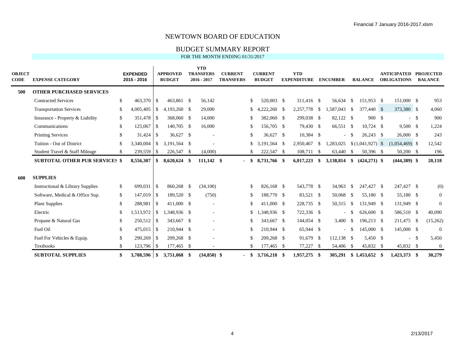## BUDGET SUMMARY REPORT

| <b>OBJECT</b><br><b>CODE</b> | <b>EXPENSE CATEGORY</b>               |     | <b>EXPENDED</b><br>2015 - 2016 |               | <b>APPROVED</b><br><b>BUDGET</b> | <b>YTD</b><br><b>TRANSFERS</b><br>2016 - 2017 | <b>CURRENT</b><br><b>TRANSFERS</b> |          | <b>CURRENT</b><br><b>BUDGET</b> | <b>YTD</b><br><b>EXPENDITURE</b> |               | <b>ENCUMBER</b> |       | <b>BALANCE</b>          | <b>ANTICIPATED</b><br><b>OBLIGATIONS</b> | <b>PROJECTED</b><br><b>BALANCE</b> |
|------------------------------|---------------------------------------|-----|--------------------------------|---------------|----------------------------------|-----------------------------------------------|------------------------------------|----------|---------------------------------|----------------------------------|---------------|-----------------|-------|-------------------------|------------------------------------------|------------------------------------|
| 500                          | <b>OTHER PURCHASED SERVICES</b>       |     |                                |               |                                  |                                               |                                    |          |                                 |                                  |               |                 |       |                         |                                          |                                    |
|                              | <b>Contracted Services</b>            | \$  | 463,370 \$                     |               | 463,861 \$                       | 56,142                                        |                                    | \$       | 520,003 \$                      | 311,416 \$                       |               | 56,634 \$       |       | 151,953 \$              | 151,000 \$                               | 953                                |
|                              | <b>Transportation Services</b>        | S.  | 4,005,405                      | $\mathbf{s}$  | 4.193.260 \$                     | 29,000                                        |                                    | \$       | $4,222,260$ \$                  | 2,257,778 \$                     |               | 1.587.043 \$    |       | 377,440 \$              | 373,380 \$                               | 4,060                              |
|                              | Insurance - Property & Liability      | \$  | 351,478 \$                     |               | 368,060 \$                       | 14,000                                        |                                    | S.       | 382,060 \$                      | 299,038 \$                       |               | 82,122 \$       |       | 900 \$                  | $-$ \$                                   | 900                                |
|                              | Communications                        | \$  | 125,067                        | - \$          | 140,705 \$                       | 16,000                                        |                                    | \$       | 156,705 \$                      | 79,430 \$                        |               | 66,551 \$       |       | $10,724$ \$             | $9,500$ \$                               | 1,224                              |
|                              | <b>Printing Services</b>              | \$. |                                |               | 36,627 \$                        |                                               |                                    | \$       | 36,627 \$                       | 10,384 \$                        |               |                 | $- S$ | $26,243$ \$             | $26,000$ \$                              | 243                                |
|                              | Tuition - Out of District             | \$  | 3.340.004                      | <sup>S</sup>  | 3.191.564 \$                     |                                               |                                    | \$       | 3,191,564 \$                    | 2.950.467                        | <sup>\$</sup> | 1,283,025       |       | $$(1,041,927)$ \\$      | $(1,054,469)$ \$                         | 12,542                             |
|                              | Student Travel & Staff Mileage        | \$. | 239,559                        | -\$           | 226,547 \$                       | (4,000)                                       |                                    |          | 222,547 \$                      | 108,711 \$                       |               | 63,440 \$       |       | 50,396 \$               | 50,200 \$                                | 196                                |
|                              | <b>SUBTOTAL OTHER PUR SERVICES \$</b> |     | 8,556,307                      | SS.           | 8,620,624 \$                     | 111,142 \$                                    | $\sim$                             | -SS      | 8,731,766 \$                    | 6,017,223                        | \$            | 3,138,814       | - \$  | $(424, 271)$ \$         | $(444,389)$ \$                           | 20,118                             |
| 600                          | <b>SUPPLIES</b>                       |     |                                |               |                                  |                                               |                                    |          |                                 |                                  |               |                 |       |                         |                                          |                                    |
|                              | Instructional & Library Supplies      | S.  | 699.031                        | - \$          | 860.268 \$                       | (34,100)                                      |                                    | \$       | 826,168 \$                      | 543,778 \$                       |               | 34,963          | - \$  | 247,427 \$              | 247,427 \$                               | (0)                                |
|                              | Software, Medical & Office Sup.       | \$  | 147,019                        | - \$          | 189.520 \$                       | (750)                                         |                                    | \$       | 188,770 \$                      | 83,521 \$                        |               | 50,068 \$       |       | 55,180 \$               | 55,180 \$                                | $\overline{0}$                     |
|                              | <b>Plant Supplies</b>                 | \$  | 288,981                        | <b>S</b>      | 411,000 \$                       |                                               |                                    |          | 411,000 \$                      | 228,735 \$                       |               | 50,315 \$       |       | 131,949 \$              | 131,949 \$                               | $\overline{0}$                     |
|                              | Electric                              | \$. | 1,513,972                      | <sup>\$</sup> | 1,348,936 \$                     |                                               |                                    | \$       | 1,348,936 \$                    | 722,336 \$                       |               |                 | - \$  | 626,600 \$              | 586,510 \$                               | 40,090                             |
|                              | Propane & Natural Gas                 | \$  | 250,512                        | <b>S</b>      | 343,667 \$                       |                                               |                                    | S.       | 343,667 \$                      | 144,054 \$                       |               | $3,400$ \$      |       | 196,213 \$              | 211,475 \$                               | (15,262)                           |
|                              | Fuel Oil                              | \$  | 475,015                        | <b>S</b>      | 210,944 \$                       |                                               |                                    | \$       | 210,944 \$                      | 65,944 \$                        |               |                 | - \$  | 145,000 \$              | 145,000 \$                               | $\boldsymbol{0}$                   |
|                              | Fuel For Vehicles & Equip.            | \$. | 290,269                        | -S            | 209,268 \$                       |                                               |                                    | \$       | 209,268 \$                      | 91,679 \$                        |               | $112,138$ \$    |       | 5,450 \$                | $-$ \$                                   | 5,450                              |
|                              | <b>Textbooks</b>                      | \$  | 123,796                        | - \$          | 177,465 \$                       |                                               |                                    | \$       | 177,465 \$                      | 77,227                           | - \$          | 54,406 \$       |       | 45,832 \$               | 45,832 \$                                | $\mathbf{0}$                       |
|                              | <b>SUBTOTAL SUPPLIES</b>              |     | 3,788,596 \$                   |               | 3,751,068 \$                     | $(34.850)$ \$                                 |                                    | <b>S</b> | 3,716,218 \$                    | 1,957,275                        | -\$           |                 |       | 305.291 \$ 1.453,652 \$ | 1.423.373 \$                             | 30,279                             |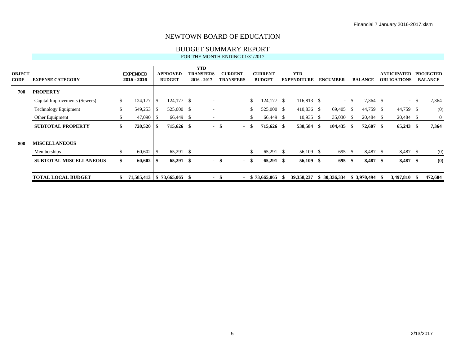## BUDGET SUMMARY REPORT

| <b>OBJECT</b><br><b>CODE</b> | <b>EXPENSE CATEGORY</b>       |     | <b>EXPENDED</b><br>2015 - 2016 |      | <b>APPROVED</b><br><b>BUDGET</b> | <b>YTD</b><br><b>TRANSFERS</b><br>$2016 - 2017$ |        | <b>CURRENT</b><br><b>TRANSFERS</b> |              | <b>CURRENT</b><br><b>BUDGET</b> | <b>YTD</b><br><b>EXPENDITURE</b> |    | <b>ENCUMBER</b> |        | <b>BALANCE</b> |      | <b>ANTICIPATED</b><br><b>OBLIGATIONS</b> |        | <b>PROJECTED</b><br><b>BALANCE</b> |
|------------------------------|-------------------------------|-----|--------------------------------|------|----------------------------------|-------------------------------------------------|--------|------------------------------------|--------------|---------------------------------|----------------------------------|----|-----------------|--------|----------------|------|------------------------------------------|--------|------------------------------------|
| 700                          | <b>PROPERTY</b>               |     |                                |      |                                  |                                                 |        |                                    |              |                                 |                                  |    |                 |        |                |      |                                          |        |                                    |
|                              | Capital Improvements (Sewers) | \$  | 124,177                        | l \$ | $124,177$ \$                     |                                                 |        |                                    | \$           | $124,177$ \$                    | 116,813 \$                       |    |                 | $-$ \$ | 7,364 \$       |      |                                          | $-$ \$ | 7,364                              |
|                              | <b>Technology Equipment</b>   | \$  | 549,253                        | IS.  | 525,000 \$                       |                                                 |        |                                    | $\mathbb{S}$ | 525,000 \$                      | 410,836 \$                       |    | $69,405$ \$     |        | 44,759 \$      |      | 44,759 \$                                |        | (0)                                |
|                              | Other Equipment               | S.  | $47,090$ \$                    |      | 66,449 \$                        |                                                 |        |                                    | \$           | 66,449 \$                       | $10,935$ \$                      |    | 35,030 \$       |        | 20,484 \$      |      | 20,484 \$                                |        | $\overline{0}$                     |
|                              | <b>SUBTOTAL PROPERTY</b>      | \$  | 720,520                        | l \$ | 715,626 \$                       |                                                 | $-$ \$ | $\sim$                             | -S           | 715,626 \$                      | 538,584 \$                       |    | $104,435$ \$    |        | $72,607$ \$    |      | $65,243$ \$                              |        | 7,364                              |
| -800                         | <b>MISCELLANEOUS</b>          |     |                                |      |                                  |                                                 |        |                                    |              |                                 |                                  |    |                 |        |                |      |                                          |        |                                    |
|                              | Memberships                   | \$. | $60,602$ \$                    |      | 65,291 \$                        |                                                 |        |                                    | \$           | 65,291 \$                       | 56,109 \$                        |    | 695 \$          |        | 8,487 \$       |      | 8,487 \$                                 |        | (0)                                |
|                              | <b>SUBTOTAL MISCELLANEOUS</b> | \$  | 60,602                         | - SS | 65,291 \$                        |                                                 | $-$ \$ | $\sim$                             | - \$         | $65,291$ \$                     | 56,109 \$                        |    | 695S            |        | 8,487 \$       |      | 8,487 \$                                 |        | (0)                                |
|                              | <b>TOTAL LOCAL BUDGET</b>     |     | 71,585,413   \$73,665,065 \$   |      |                                  | $\blacksquare$                                  | -\$    | $\overline{\phantom{a}}$           |              | \$73,665,065                    | 39, 358, 237                     | S. | 30,336,334      |        | \$3,970,494    | - 96 | 3,497,810 \$                             |        | 472,684                            |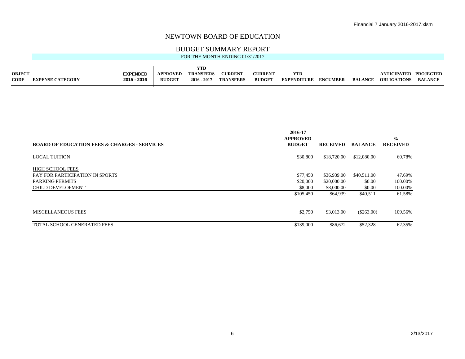## BUDGET SUMMARY REPORT

| <b>OBJECT</b> |                         | <b>EXPENDED</b> | <b>APPROVED</b> | <b>TRANSFERS</b> | <b>CURRENT</b>   | <b>CURRENT</b> | YTD                         |         | ANTICIPATED PROJECTED |         |
|---------------|-------------------------|-----------------|-----------------|------------------|------------------|----------------|-----------------------------|---------|-----------------------|---------|
| <b>CODE</b>   | <b>EXPENSE CATEGORY</b> | 2015 - 2016     | <b>BUDGET</b>   | $2016 - 2017$    | <b>TRANSFERS</b> | <b>BUDGET</b>  | <b>EXPENDITURE ENCUMBER</b> | BALANCE | <b>OBLIGATIONS</b>    | BALANCE |

|                                                         | 2016-17                          |                 |                |                                  |
|---------------------------------------------------------|----------------------------------|-----------------|----------------|----------------------------------|
| <b>BOARD OF EDUCATION FEES &amp; CHARGES - SERVICES</b> | <b>APPROVED</b><br><b>BUDGET</b> | <b>RECEIVED</b> | <b>BALANCE</b> | $\frac{0}{0}$<br><b>RECEIVED</b> |
|                                                         |                                  |                 |                |                                  |
| <b>LOCAL TUITION</b>                                    | \$30,800                         | \$18,720.00     | \$12,080.00    | 60.78%                           |
|                                                         |                                  |                 |                |                                  |
| <b>HIGH SCHOOL FEES</b>                                 |                                  |                 |                |                                  |
| PAY FOR PARTICIPATION IN SPORTS                         | \$77.450                         | \$36,939.00     | \$40,511.00    | 47.69%                           |
| <b>PARKING PERMITS</b>                                  | \$20,000                         | \$20,000.00     | \$0.00         | 100.00%                          |
| <b>CHILD DEVELOPMENT</b>                                | \$8,000                          | \$8,000.00      | \$0.00         | 100.00%                          |
|                                                         | \$105,450                        | \$64,939        | \$40,511       | 61.58%                           |
|                                                         |                                  |                 |                |                                  |
| <b>MISCELLANEOUS FEES</b>                               | \$2,750                          | \$3,013.00      | $(\$263.00)$   | 109.56%                          |
| TOTAL SCHOOL GENERATED FEES                             |                                  |                 |                | 62.35%                           |
|                                                         | \$139,000                        | \$86,672        | \$52,328       |                                  |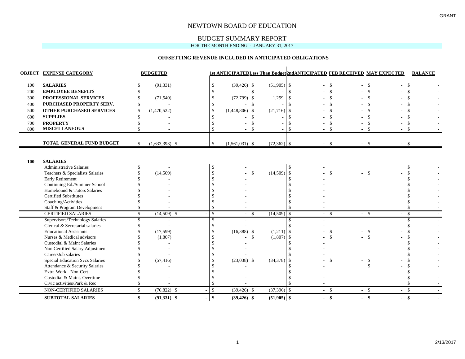## BUDGET SUMMARY REPORT

#### FOR THE MONTH ENDING - JANUARY 31, 2017

#### **OFFSETTING REVENUE INCLUDED IN ANTICIPATED OBLIGATIONS**

|     | <b>OBJECT EXPENSE CATEGORY</b>                          |    | <b>BUDGETED</b>  |               |                  |                    |               | <b>1st ANTICIPATED Less Than Budget2ndANTICIPATED FEB RECEIVED MAY EXPECTED</b> |                    |        |               | <b>BALANCE</b> |  |
|-----|---------------------------------------------------------|----|------------------|---------------|------------------|--------------------|---------------|---------------------------------------------------------------------------------|--------------------|--------|---------------|----------------|--|
| 100 | <b>SALARIES</b>                                         |    | (91, 331)        | \$            | $(39, 426)$ \$   |                    | $(51,905)$ \$ |                                                                                 | -\$                | $-5$   | $-$ \$        |                |  |
| 200 | <b>EMPLOYEE BENEFITS</b>                                |    |                  |               |                  | $\mathbf{\hat{S}}$ |               | $\mathcal{S}$                                                                   |                    |        | $\mathcal{S}$ | \$             |  |
| 300 | PROFESSIONAL SERVICES                                   |    | (71, 540)        | $\mathcal{S}$ | $(72,799)$ \$    |                    | 1,259         | - \$                                                                            |                    |        |               |                |  |
| 400 | PURCHASED PROPERTY SERV.                                |    |                  |               |                  | \$                 |               |                                                                                 |                    |        |               |                |  |
| 500 | <b>OTHER PURCHASED SERVICES</b>                         | \$ | (1,470,522)      | $\mathcal{S}$ | $(1,448,806)$ \$ |                    | $(21,716)$ \$ |                                                                                 |                    |        |               |                |  |
| 600 | <b>SUPPLIES</b>                                         |    |                  |               |                  | -\$                |               |                                                                                 |                    |        |               |                |  |
| 700 | <b>PROPERTY</b>                                         |    |                  |               |                  |                    |               |                                                                                 |                    |        |               | \$.            |  |
| 800 | <b>MISCELLANEOUS</b>                                    |    |                  |               |                  | $\mathcal{S}$      |               |                                                                                 |                    |        | - \$<br>$-5$  |                |  |
|     |                                                         |    |                  |               |                  |                    |               |                                                                                 |                    |        |               |                |  |
|     | <b>TOTAL GENERAL FUND BUDGET</b>                        | \$ | $(1,633,393)$ \$ | $\mathcal{S}$ | $(1,561,031)$ \$ |                    | $(72,362)$ \$ |                                                                                 | $-5$               | $-$ \$ | $-$ \$        |                |  |
|     |                                                         |    |                  |               |                  |                    |               |                                                                                 |                    |        |               |                |  |
| 100 | <b>SALARIES</b>                                         |    |                  |               |                  |                    |               |                                                                                 |                    |        |               |                |  |
|     | <b>Administrative Salaries</b>                          | S  |                  |               |                  |                    |               |                                                                                 |                    |        |               |                |  |
|     | Teachers & Specialists Salaries                         |    | (14,509)         |               |                  | -S                 | (14,509)      | $\mathbf{\hat{s}}$                                                              | $\mathbf{\hat{S}}$ | $-5$   |               |                |  |
|     | <b>Early Retirement</b>                                 |    |                  |               |                  |                    |               | $\mathcal{S}$                                                                   |                    |        |               |                |  |
|     | Continuing Ed./Summer School                            |    |                  |               |                  |                    |               |                                                                                 |                    |        |               |                |  |
|     | Homebound & Tutors Salaries                             |    |                  |               |                  |                    |               |                                                                                 |                    |        |               |                |  |
|     | <b>Certified Substitutes</b>                            |    |                  |               |                  |                    |               |                                                                                 |                    |        |               |                |  |
|     | Coaching/Activities                                     |    |                  |               |                  |                    |               |                                                                                 |                    |        |               |                |  |
|     | Staff & Program Development                             |    |                  |               |                  |                    |               |                                                                                 |                    |        |               |                |  |
|     | <b>CERTIFIED SALARIES</b>                               | \$ | $(14,509)$ \$    | $\mathcal{S}$ | $-5$             |                    | (14,509)      | - \$                                                                            | $-$ \$             | $-$ \$ | $-$ \$        |                |  |
|     | Supervisors/Technology Salaries                         | S  |                  | \$            |                  |                    |               |                                                                                 |                    |        |               |                |  |
|     | Clerical & Secretarial salaries                         |    |                  |               |                  |                    |               |                                                                                 |                    |        |               |                |  |
|     | <b>Educational Assistants</b>                           |    | (17,599)         |               | $(16,388)$ \$    |                    | $(1,211)$ \$  |                                                                                 | $\mathcal{S}$      | $-$ \$ |               |                |  |
|     | Nurses & Medical advisors                               |    | (1,807)          |               |                  | $\mathbf{\hat{S}}$ | $(1,807)$ \$  |                                                                                 |                    | $-$ \$ |               |                |  |
|     | Custodial & Maint Salaries                              |    |                  |               |                  |                    |               |                                                                                 |                    |        |               |                |  |
|     | Non Certified Salary Adjustment                         |    |                  |               |                  |                    |               |                                                                                 |                    |        |               |                |  |
|     | Career/Job salaries                                     |    |                  |               |                  |                    |               |                                                                                 |                    |        |               |                |  |
|     | <b>Special Education Svcs Salaries</b>                  |    | (57, 416)        |               | $(23,038)$ \$    |                    | $(34,378)$ \$ |                                                                                 | \$                 |        | \$            |                |  |
|     | Attendance & Security Salaries<br>Extra Work - Non-Cert |    |                  |               |                  |                    |               |                                                                                 |                    |        |               |                |  |
|     | Custodial & Maint. Overtime                             |    |                  |               |                  |                    |               |                                                                                 |                    |        |               |                |  |
|     | Civic activities/Park & Rec                             |    |                  |               |                  |                    |               |                                                                                 |                    |        |               |                |  |
|     | <b>NON-CERTIFIED SALARIES</b>                           | \$ | $(76,822)$ \$    | $\mathcal{S}$ | $(39, 426)$ \$   |                    | $(37,396)$ \$ |                                                                                 | $-5$               | $-$ \$ | $-$ \$        |                |  |
|     | <b>SUBTOTAL SALARIES</b>                                | \$ | $(91,331)$ \$    | $\mathbf{\$}$ | $(39, 426)$ \$   |                    | $(51,905)$ \$ |                                                                                 | $-$ \$             | $-$ \$ | $-$ \$        |                |  |
|     |                                                         |    |                  |               |                  |                    |               |                                                                                 |                    |        |               |                |  |

 $\blacksquare$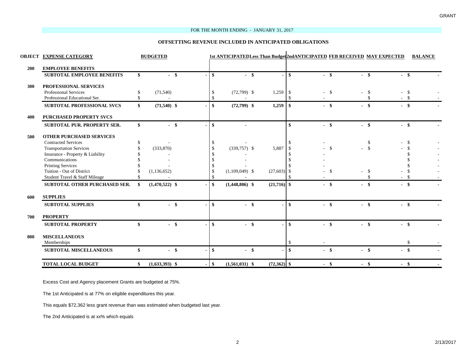#### FOR THE MONTH ENDING - JANUARY 31, 2017

#### **OFFSETTING REVENUE INCLUDED IN ANTICIPATED OBLIGATIONS**

|     | <b>OBJECT EXPENSE CATEGORY</b>                        |    | <b>BUDGETED</b>  |              |                  |                |               | 1st ANTICIPATEDLess Than Budget2ndANTICIPATED FEB RECEIVED MAY EXPECTED |        |              |        | <b>BALANCE</b> |
|-----|-------------------------------------------------------|----|------------------|--------------|------------------|----------------|---------------|-------------------------------------------------------------------------|--------|--------------|--------|----------------|
| 200 | <b>EMPLOYEE BENEFITS</b>                              |    |                  |              |                  |                |               |                                                                         |        |              |        |                |
|     | <b>SUBTOTAL EMPLOYEE BENEFITS</b>                     | \$ | $-$ \$           | \$           | - \$             | $\blacksquare$ | -\$           | $-$ \$                                                                  | $-$ \$ |              | - \$   |                |
|     |                                                       |    |                  |              |                  |                |               |                                                                         |        |              |        |                |
| 300 | PROFESSIONAL SERVICES<br><b>Professional Services</b> |    |                  |              |                  |                |               |                                                                         |        |              |        |                |
|     | Professional Educational Ser.                         | \$ | (71, 540)        | S.<br>-S     | $(72,799)$ \$    | 1,259          | -S            | $-5$                                                                    |        | $\mathbf{s}$ | - \$   |                |
|     |                                                       |    |                  |              |                  |                |               |                                                                         |        |              |        |                |
|     | SUBTOTAL PROFESSIONAL SVCS                            | \$ | $(71,540)$ \$    | \$           | $(72,799)$ \$    | 1,259          | -\$           | $-$ \$                                                                  | $-$ \$ |              | $-$ \$ |                |
| 400 | <b>PURCHASED PROPERTY SVCS</b>                        |    |                  |              |                  |                |               |                                                                         |        |              |        |                |
|     | SUBTOTAL PUR. PROPERTY SER.                           | \$ | $-$ \$           | $\mathbf{s}$ |                  |                | $\mathbf{s}$  | $-$ \$                                                                  | $-$ \$ |              | $-$ \$ |                |
| 500 | <b>OTHER PURCHASED SERVICES</b>                       |    |                  |              |                  |                |               |                                                                         |        |              |        |                |
|     | <b>Contracted Services</b>                            | \$ |                  | -S           |                  |                |               |                                                                         |        | -S           |        |                |
|     | <b>Transportation Services</b>                        |    | (333,870)        | -S           | $(339,757)$ \$   | 5,887          |               | $\mathcal{S}$                                                           | $-$ \$ |              |        |                |
|     | Insurance - Property & Liability                      |    |                  |              |                  |                |               |                                                                         |        |              |        |                |
|     | Communications                                        |    |                  |              |                  |                |               |                                                                         |        |              |        |                |
|     | <b>Printing Services</b>                              |    |                  |              |                  |                |               |                                                                         |        |              |        |                |
|     | Tuition - Out of District                             |    | (1, 136, 652)    | -S           | $(1,109,049)$ \$ | $(27,603)$ \$  |               | -\$                                                                     |        | - \$         |        |                |
|     | Student Travel & Staff Mileage                        |    |                  |              |                  |                |               |                                                                         |        |              |        |                |
|     | SUBTOTAL OTHER PURCHASED SER.                         |    | $(1,470,522)$ \$ | \$           | $(1,448,806)$ \$ | $(21,716)$ \$  |               | $-$ \$                                                                  | $-$ \$ |              | $-$ \$ |                |
| 600 | <b>SUPPLIES</b>                                       |    |                  |              |                  |                |               |                                                                         |        |              |        |                |
|     | <b>SUBTOTAL SUPPLIES</b>                              | ¢  | $-$ \$           | $\mathbf{s}$ | $-$ \$           | $\blacksquare$ | \$            | $-$ \$                                                                  | $-$ \$ |              | $-$ \$ |                |
| 700 | <b>PROPERTY</b>                                       |    |                  |              |                  |                |               |                                                                         |        |              |        |                |
|     | <b>SUBTOTAL PROPERTY</b>                              | \$ | $-$ \$           | \$           | $-$ \$           |                | $\mathbf{s}$  | $-$ \$                                                                  | $-$ \$ |              | $-$ \$ |                |
| 800 | <b>MISCELLANEOUS</b><br>Memberships                   |    |                  |              |                  |                | <sup>\$</sup> |                                                                         |        |              | -S     |                |
|     | <b>SUBTOTAL MISCELLANEOUS</b>                         | \$ | $-$ \$           | $\mathbf{s}$ | $-$ \$           |                | -\$           | $-$ \$                                                                  | $-$ \$ |              | $-$ \$ |                |
|     | <b>TOTAL LOCAL BUDGET</b>                             | \$ | $(1,633,393)$ \$ | \$           | $(1,561,031)$ \$ | $(72,362)$ \$  |               | $-$ \$                                                                  | - \$   |              | - \$   |                |

Excess Cost and Agency placement Grants are budgeted at 75%.

The 1st Anticipated is at 77% on eligible expenditures this year.

This equals \$72,362 less grant revenue than was estimated when budgeted last year.

The 2nd Anticipated is at xx% which equals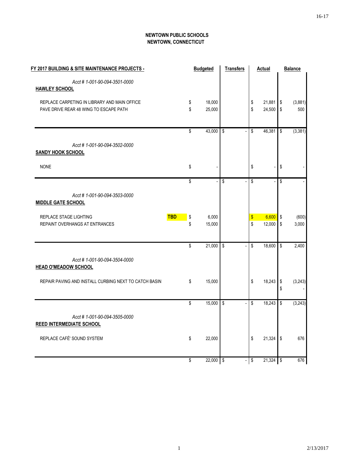## **NEWTOWN PUBLIC SCHOOLS NEWTOWN, CONNECTICUT**

| FY 2017 BUILDING & SITE MAINTENANCE PROJECTS -                                         |          | <b>Budgeted</b>          | <b>Transfers</b>        |                         | <b>Actual</b>    |          | <b>Balance</b> |
|----------------------------------------------------------------------------------------|----------|--------------------------|-------------------------|-------------------------|------------------|----------|----------------|
| Acct #1-001-90-094-3501-0000<br><b>HAWLEY SCHOOL</b>                                   |          |                          |                         |                         |                  |          |                |
| REPLACE CARPETING IN LIBRARY AND MAIN OFFICE<br>PAVE DRIVE REAR 48 WING TO ESCAPE PATH | \$<br>\$ | 18,000<br>25,000         |                         | \$<br>\$                | 21,881<br>24,500 | \$<br>\$ | (3,881)<br>500 |
|                                                                                        |          |                          |                         |                         |                  |          |                |
|                                                                                        | \$       | 43,000                   | \$<br>$\overline{a}$    | \$                      | 46,381           | \$       | (3, 381)       |
| Acct #1-001-90-094-3502-0000<br><b>SANDY HOOK SCHOOL</b>                               |          |                          |                         |                         |                  |          |                |
| <b>NONE</b>                                                                            | \$       |                          |                         | \$                      |                  | \$       |                |
|                                                                                        | \$       | $\overline{\phantom{a}}$ | $\overline{\mathbf{S}}$ | $\overline{\mathbb{S}}$ |                  | \$       |                |
| Acct #1-001-90-094-3503-0000<br><b>MIDDLE GATE SCHOOL</b>                              |          |                          |                         |                         |                  |          |                |
| <b>TBD</b><br>REPLACE STAGE LIGHTING<br>REPAINT OVERHANGS AT ENTRANCES                 | \$<br>\$ | 6,000<br>15,000          |                         | $\boldsymbol{\$}$<br>\$ | 6,600<br>12,000  | \$<br>\$ | (600)<br>3,000 |
|                                                                                        |          |                          |                         |                         |                  |          |                |
|                                                                                        | \$       | 21,000                   | \$                      | \$                      | 18,600           | \$       | 2,400          |
| Acct #1-001-90-094-3504-0000<br><b>HEAD O'MEADOW SCHOOL</b>                            |          |                          |                         |                         |                  |          |                |
| REPAIR PAVING AND INSTALL CURBING NEXT TO CATCH BASIN                                  | \$       | 15,000                   |                         | \$                      | 18,243           | \$<br>\$ | (3, 243)       |
|                                                                                        | \$       | 15,000                   | $\overline{\mathbf{s}}$ | \$                      | 18,243           | \$       | (3, 243)       |
| Acct #1-001-90-094-3505-0000<br><b>REED INTERMEDIATE SCHOOL</b>                        |          |                          |                         |                         |                  |          |                |
| REPLACE CAFÉ' SOUND SYSTEM                                                             | \$       | 22,000                   |                         | \$                      | 21,324           | \$       | 676            |
|                                                                                        | \$       | $22,000$ \$              |                         | \$                      | $21,324$ \$      |          | 676            |